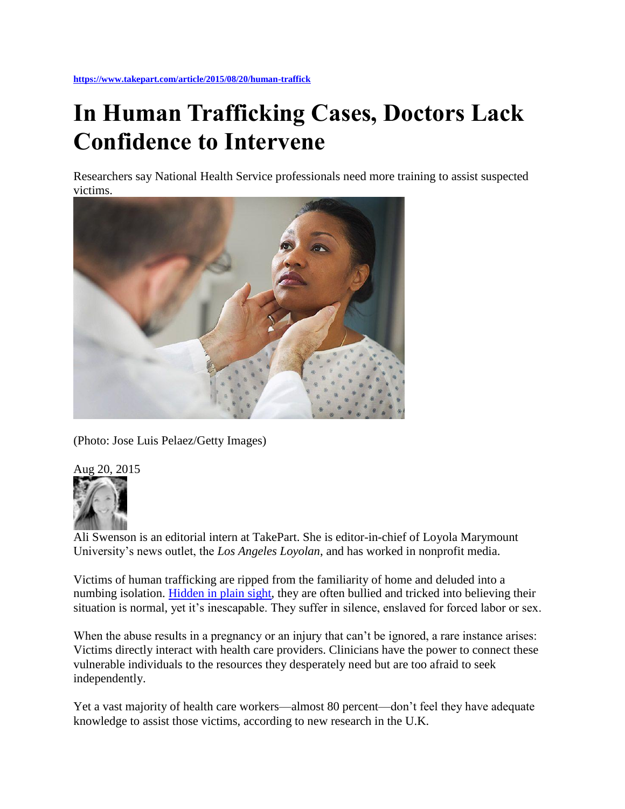## **In Human Trafficking Cases, Doctors Lack Confidence to Intervene**

Researchers say National Health Service professionals need more training to assist suspected victims.



(Photo: Jose Luis Pelaez/Getty Images)



Ali Swenson is an editorial intern at TakePart. She is editor-in-chief of Loyola Marymount University's news outlet, the *Los Angeles Loyolan*, and has worked in nonprofit media.

Victims of human trafficking are ripped from the familiarity of home and deluded into a numbing isolation. [Hidden in plain sight,](https://www.takepart.com/article/2013/10/18/i-survived-slavery) they are often bullied and tricked into believing their situation is normal, yet it's inescapable. They suffer in silence, enslaved for forced labor or sex.

When the abuse results in a pregnancy or an injury that can't be ignored, a rare instance arises: Victims directly interact with health care providers. Clinicians have the power to connect these vulnerable individuals to the resources they desperately need but are too afraid to seek independently.

Yet a vast majority of health care workers—almost 80 percent—don't feel they have adequate knowledge to assist those victims, according to new research in the U.K.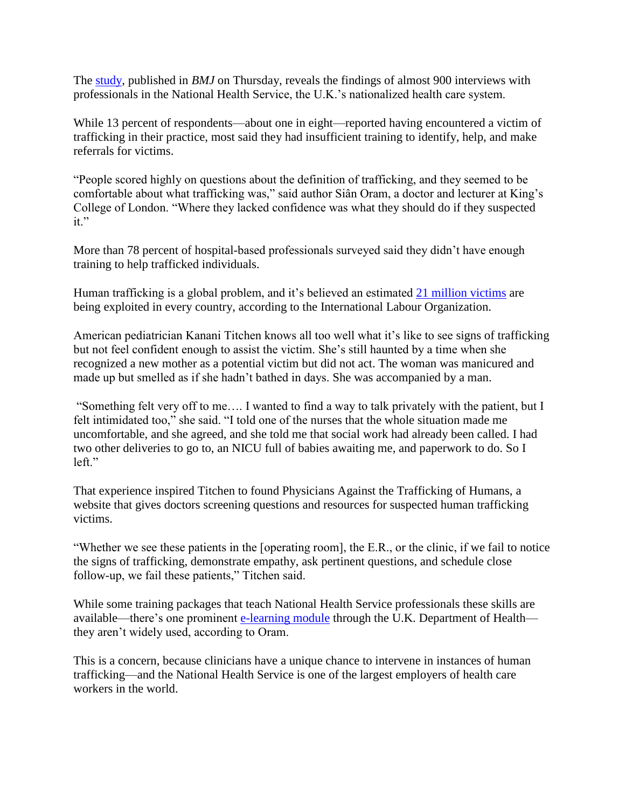The [study,](http://bmjopen.bmj.com/lookup/doi/10.1136/bmjopen-2015-008662) published in *BMJ* on Thursday, reveals the findings of almost 900 interviews with professionals in the National Health Service, the U.K.'s nationalized health care system.

While 13 percent of respondents—about one in eight—reported having encountered a victim of trafficking in their practice, most said they had insufficient training to identify, help, and make referrals for victims.

"People scored highly on questions about the definition of trafficking, and they seemed to be comfortable about what trafficking was," said author Siân Oram, a doctor and lecturer at King's College of London. "Where they lacked confidence was what they should do if they suspected it."

More than 78 percent of hospital-based professionals surveyed said they didn't have enough training to help trafficked individuals.

Human trafficking is a global problem, and it's believed an estimated [21 million victims](http://www.ilo.org/global/topics/forced-labour/lang--en/index.htm) are being exploited in every country, according to the International Labour Organization.

American pediatrician Kanani Titchen knows all too well what it's like to see signs of trafficking but not feel confident enough to assist the victim. She's still haunted by a time when she recognized a new mother as a potential victim but did not act. The woman was manicured and made up but smelled as if she hadn't bathed in days. She was accompanied by a man.

"Something felt very off to me…. I wanted to find a way to talk privately with the patient, but I felt intimidated too," she said. "I told one of the nurses that the whole situation made me uncomfortable, and she agreed, and she told me that social work had already been called. I had two other deliveries to go to, an NICU full of babies awaiting me, and paperwork to do. So I left."

That experience inspired Titchen to found Physicians Against the Trafficking of Humans, a website that gives doctors screening questions and resources for suspected human trafficking victims.

"Whether we see these patients in the [operating room], the E.R., or the clinic, if we fail to notice the signs of trafficking, demonstrate empathy, ask pertinent questions, and schedule close follow-up, we fail these patients," Titchen said.

While some training packages that teach National Health Service professionals these skills are available—there's one prominent [e-learning module](http://www.e-lfh.org.uk/programmes/modern-slavery/) through the U.K. Department of Health they aren't widely used, according to Oram.

This is a concern, because clinicians have a unique chance to intervene in instances of human trafficking—and the National Health Service is one of the largest employers of health care workers in the world.